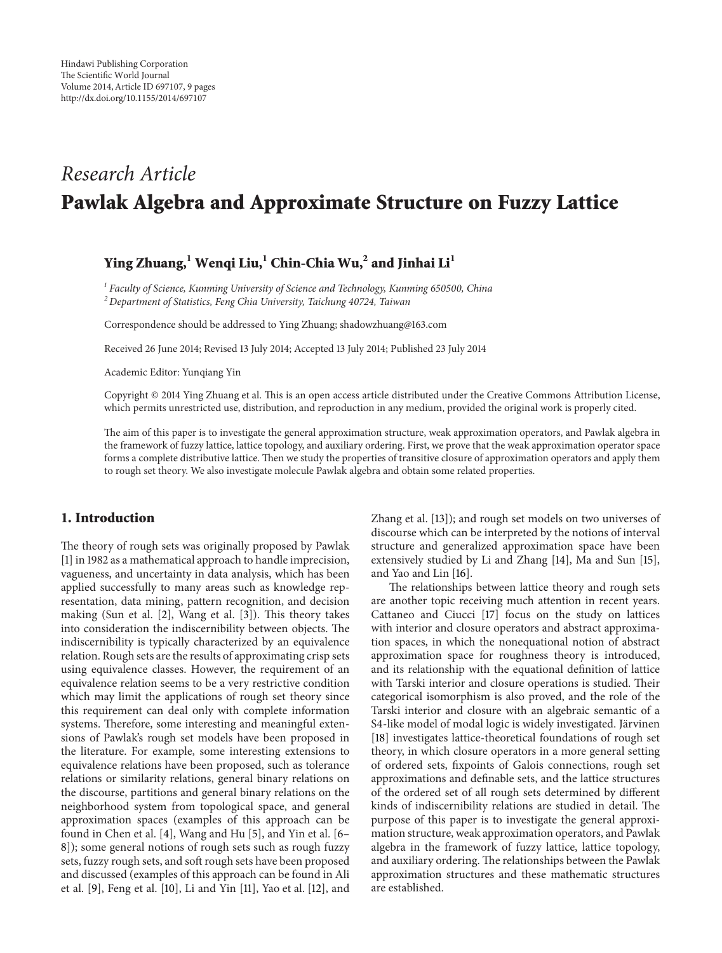# *Research Article* **Pawlak Algebra and Approximate Structure on Fuzzy Lattice**

## **Ying Zhuang,1 Wenqi Liu,1 Chin-Chia Wu,2 and Jinhai Li<sup>1</sup>**

*<sup>1</sup> Faculty of Science, Kunming University of Science and Technology, Kunming 650500, China*

*<sup>2</sup> Department of Statistics, Feng Chia University, Taichung 40724, Taiwan*

Correspondence should be addressed to Ying Zhuang; shadowzhuang@163.com

Received 26 June 2014; Revised 13 July 2014; Accepted 13 July 2014; Published 23 July 2014

Academic Editor: Yunqiang Yin

Copyright © 2014 Ying Zhuang et al. This is an open access article distributed under the Creative Commons Attribution License, which permits unrestricted use, distribution, and reproduction in any medium, provided the original work is properly cited.

The aim of this paper is to investigate the general approximation structure, weak approximation operators, and Pawlak algebra in the framework of fuzzy lattice, lattice topology, and auxiliary ordering. First, we prove that the weak approximation operator space forms a complete distributive lattice. Then we study the properties of transitive closure of approximation operators and apply them to rough set theory. We also investigate molecule Pawlak algebra and obtain some related properties.

### **1. Introduction**

The theory of rough sets was originally proposed by Pawlak [1] in 1982 as a mathematical approach to handle imprecision, vagueness, and uncertainty in data analysis, which has been applied successfully to many areas such as knowledge representation, data mining, pattern recognition, and decision making (Sun et al. [2], Wang et al. [3]). This theory takes into consideration the indiscernibility between objects. The indiscernibility is typically characterized by an equivalence relation. Rough sets are the results of approximating crisp sets using equivalence classes. However, the requirement of an equivalence relation seems to be a very restrictive condition which may limit the applications of rough set theory since this requirement can deal only with complete information systems. Therefore, some interesting and meaningful extensions of Pawlak's rough set models have been proposed in the literature. For example, some interesting extensions to equivalence relations have been proposed, such as tolerance relations or similarity relations, general binary relations on the discourse, partitions and general binary relations on the neighborhood system from topological space, and general approximation spaces (examples of this approach can be found in Chen et al. [4], Wang and Hu [5], and Yin et al. [6– 8]); some general notions of rough sets such as rough fuzzy sets, fuzzy rough sets, and soft rough sets have been proposed and discussed (examples of this approach can be found in Ali et al. [9], Feng et al. [10], Li and Yin [11], Yao et al. [12], and

Zhang et al. [13]); and rough set models on two universes of discourse which can be interpreted by the notions of interval structure and generalized approximation space have been extensively studied by Li and Zhang [14], Ma and Sun [15], and Yao and Lin [16].

The relationships between lattice theory and rough sets are another topic receiving much attention in recent years. Cattaneo and Ciucci [17] focus on the study on lattices with interior and closure operators and abstract approximation spaces, in which the nonequational notion of abstract approximation space for roughness theory is introduced, and its relationship with the equational definition of lattice with Tarski interior and closure operations is studied. Their categorical isomorphism is also proved, and the role of the Tarski interior and closure with an algebraic semantic of a S4-like model of modal logic is widely investigated. Järvinen [18] investigates lattice-theoretical foundations of rough set theory, in which closure operators in a more general setting of ordered sets, fixpoints of Galois connections, rough set approximations and definable sets, and the lattice structures of the ordered set of all rough sets determined by different kinds of indiscernibility relations are studied in detail. The purpose of this paper is to investigate the general approximation structure, weak approximation operators, and Pawlak algebra in the framework of fuzzy lattice, lattice topology, and auxiliary ordering. The relationships between the Pawlak approximation structures and these mathematic structures are established.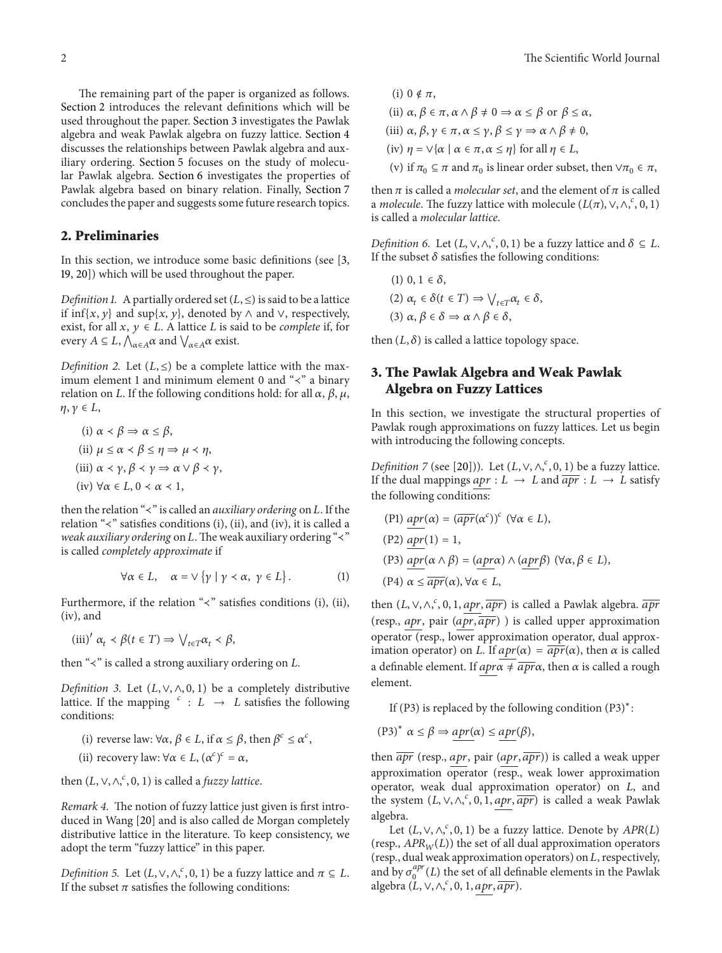The remaining part of the paper is organized as follows. Section 2 introduces the relevant definitions which will be used throughout the paper. Section 3 investigates the Pawlak algebra and weak Pawlak algebra on fuzzy lattice. Section 4 discusses the relationships between Pawlak algebra and auxiliary ordering. Section 5 focuses on the study of molecular Pawlak algebra. Section 6 investigates the properties of Pawlak algebra based on binary relation. Finally, Section 7 concludes the paper and suggests some future research topics.

#### **2. Preliminaries**

In this section, we introduce some basic definitions (see [3, 19, 20]) which will be used throughout the paper.

*Definition 1.* A partially ordered set  $(L, \leq)$  is said to be a lattice if inf{ $x, y$ } and sup{ $x, y$ }, denoted by  $\land$  and  $\lor$ , respectively, exist, for all  $x, y \in L$ . A lattice  $L$  is said to be *complete* if, for every  $A \subseteq L$ ,  $\bigwedge_{\alpha \in A} \alpha$  and  $\bigvee_{\alpha \in A} \alpha$  exist.

*Definition 2.* Let  $(L, \leq)$  be a complete lattice with the maximum element 1 and minimum element 0 and "≺" a binary relation on L. If the following conditions hold: for all  $\alpha$ ,  $\beta$ ,  $\mu$ ,  $\eta, \gamma \in L$ ,

(i) 
$$
\alpha \prec \beta \Rightarrow \alpha \le \beta
$$
,  
\n(ii)  $\mu \le \alpha \prec \beta \le \eta \Rightarrow \mu \prec \eta$ ,  
\n(iii)  $\alpha \prec \gamma$ ,  $\beta \prec \gamma \Rightarrow \alpha \lor \beta \prec \gamma$ ,  
\n(iv)  $\forall \alpha \in L, 0 \prec \alpha \prec 1$ ,

then the relation "≺" is called an *auxiliary ordering* on *L*. If the relation "≺" satisfies conditions (i), (ii), and (iv), it is called a *weak auxiliary ordering* on *L*. The weak auxiliary ordering "≺" is called *completely approximate* if

$$
\forall \alpha \in L, \quad \alpha = \vee \{ \gamma \mid \gamma \prec \alpha, \ \gamma \in L \} \, . \tag{1}
$$

Furthermore, if the relation "≺" satisfies conditions (i), (ii), (iv), and

 $(iii)'$   $\alpha_t \prec \beta(t \in T) \Rightarrow \bigvee_{t \in T} \alpha_t \prec \beta$ 

then " $\prec$ " is called a strong auxiliary ordering on  $L$ .

*Definition 3.* Let  $(L, \vee, \wedge, 0, 1)$  be a completely distributive lattice. If the mapping  $\epsilon : L \to L$  satisfies the following conditions:

- (i) reverse law:  $\forall \alpha, \beta \in L$ , if  $\alpha \leq \beta$ , then  $\beta^c \leq \alpha^c$ ,
- (ii) recovery law:  $\forall \alpha \in L, (\alpha^c)^c = \alpha$ ,

then  $(L, \vee, \wedge,^c, 0, 1)$  is called a *fuzzy lattice*.

*Remark 4.* The notion of fuzzy lattice just given is first introduced in Wang [20] and is also called de Morgan completely distributive lattice in the literature. To keep consistency, we adopt the term "fuzzy lattice" in this paper.

*Definition 5.* Let  $(L, \vee, \wedge, {}^c, 0, 1)$  be a fuzzy lattice and  $\pi \subseteq L$ . If the subset  $\pi$  satisfies the following conditions:

\n- (i) 
$$
0 \notin \pi
$$
,
\n- (ii)  $\alpha, \beta \in \pi$ ,  $\alpha \wedge \beta \neq 0 \Rightarrow \alpha \leq \beta$  or  $\beta \leq \alpha$ ,
\n- (iii)  $\alpha, \beta, \gamma \in \pi$ ,  $\alpha \leq \gamma$ ,  $\beta \leq \gamma \Rightarrow \alpha \wedge \beta \neq 0$ ,
\n- (iv)  $\eta = \vee \{\alpha \mid \alpha \in \pi, \alpha \leq \eta\}$  for all  $\eta \in L$ ,
\n- (v) if  $\pi_0 \subseteq \pi$  and  $\pi_0$  is linear order subset, then  $\vee \pi_0 \in \pi$ ,
\n

then  $\pi$  is called a *molecular set*, and the element of  $\pi$  is called a *molecule*. The fuzzy lattice with molecule  $(L(\pi), \vee, \wedge,^c, 0, 1)$ is called a *molecular lattice*.

*Definition 6.* Let  $(L, \vee, \wedge,^c, 0, 1)$  be a fuzzy lattice and  $\delta \subseteq L$ . If the subset  $\delta$  satisfies the following conditions:

(1) 
$$
0, 1 \in \delta
$$
,  
\n(2)  $\alpha_t \in \delta(t \in T) \Rightarrow \bigvee_{t \in T} \alpha_t \in \delta$ ,  
\n(3)  $\alpha, \beta \in \delta \Rightarrow \alpha \wedge \beta \in \delta$ ,

then  $(L, \delta)$  is called a lattice topology space.

## **3. The Pawlak Algebra and Weak Pawlak Algebra on Fuzzy Lattices**

In this section, we investigate the structural properties of Pawlak rough approximations on fuzzy lattices. Let us begin with introducing the following concepts.

*Definition 7* (see [20])). Let  $(L, \vee, \wedge,^c, 0, 1)$  be a fuzzy lattice. If the dual mappings  $apr : L \rightarrow L$  and  $\overline{apr} : L \rightarrow L$  satisfy the following conditions:

$$
(P1) \underline{apr}(\alpha) = (\overline{apr}(\alpha^c))^c \ (\forall \alpha \in L),
$$

$$
(P2) \underline{apr}(1) = 1,
$$

$$
(P3) \underline{apr}(\alpha \wedge \beta) = (\underline{apr}\alpha) \wedge (\underline{apr}\beta) \ (\forall \alpha, \beta \in L),
$$

$$
(P4) \alpha \leq \overline{apr}(\alpha), \forall \alpha \in L,
$$

then  $(L, \vee, \wedge, ^{c}, 0, 1, \underbrace{apr}, \overline{apr})$  is called a Pawlak algebra.  $\overline{apr}$ (resp., apr, pair  $(apr, \overline{apr})$ ) is called upper approximation operator (resp., lower approximation operator, dual approximation operator) on *L*. If  $apr(\alpha) = \overline{apr}(\alpha)$ , then  $\alpha$  is called a definable element. If  $apr\alpha \neq \overline{apr}\alpha$ , then  $\alpha$  is called a rough element.

If (P3) is replaced by the following condition (P3)<sup>∗</sup>:

$$
(P3)^* \ \alpha \leq \beta \Rightarrow \underline{apr(\alpha)} \leq \underline{apr(\beta)},
$$

then  $\overline{apr}$  (resp., *apr*, pair (*apr*,  $\overline{apr}$ )) is called a weak upper approximation operator (resp., weak lower approximation operator, weak dual approximation operator) on  $L$ , and the system  $(L, \vee, \wedge, ^c, 0, 1, \underbrace{apr, \overline{apr}})$  is called a weak Pawlak algebra.

Let  $(L, \vee, \wedge,^c, 0, 1)$  be a fuzzy lattice. Denote by  $APR(L)$ (resp.,  $APR_W(L)$ ) the set of all dual approximation operators (resp., dual weak approximation operators) on  $L$ , respectively, and by  $\sigma_0^{apr}(L)$  the set of all definable elements in the Pawlak algebra  $(L, \vee, \wedge,^c, 0, 1, \underline{apr}, \overline{apr}).$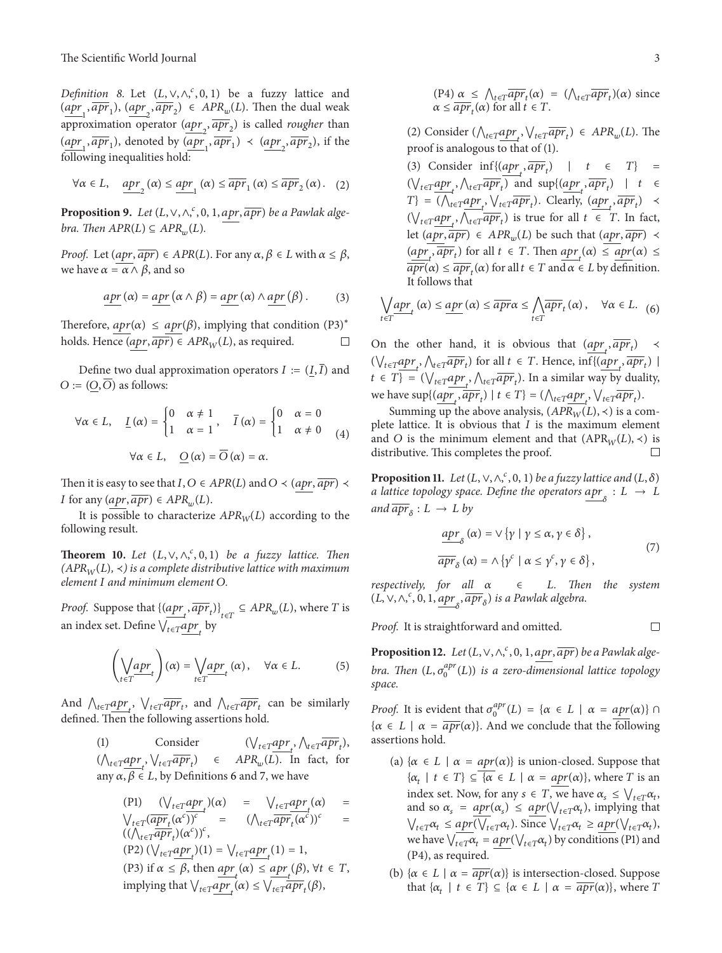*Definition 8.* Let  $(L, \vee, \wedge,^c, 0, 1)$  be a fuzzy lattice and  $(\underbrace{apr_1}_{n}$ ,  $\underbrace{apr_2}_{n}$ ,  $\underbrace{apr_2}_{n}$ )  $\in$  APR<sub>w</sub>(L). Then the dual weak approximation operator  $\left(\frac{apr_2}{qr_2}, \frac{apr_2}{qr_2}\right)$  is called *rougher* than  $(\underbrace{apr_1}_{\overline{j_1},\overline{apr_1}})$ , denoted by  $(\underbrace{apr_1}_{\overline{j_1},\overline{apr_1}}) \prec (\underbrace{apr_2}_{\overline{j_2},\overline{apr_2}})$ , if the following inequalities hold:

$$
\forall \alpha \in L, \quad \underline{apr}_2(\alpha) \le \underline{apr}_1(\alpha) \le \overline{apr}_1(\alpha) \le \overline{apr}_2(\alpha). \quad (2)
$$

**Proposition 9.** Let  $(L, \vee, \wedge, ^c, 0, 1, \underline{apr}, \overline{apr})$  be a Pawlak alge*bra.* Then  $APR(L) \subseteq APR_w(L)$ .

*Proof.* Let  $(apr, \overline{apr}) \in APR(L)$ . For any  $\alpha, \beta \in L$  with  $\alpha \leq \beta$ , we have  $\alpha = \alpha \wedge \beta$ , and so

$$
\underline{apr}(\alpha) = \underline{apr}(\alpha \wedge \beta) = \underline{apr}(\alpha) \wedge \underline{apr}(\beta).
$$
 (3)

Therefore,  $apr(\alpha) \leq apr(\beta)$ , implying that condition (P3)<sup>∗</sup> holds. Hence  $(apr, \overline{apr}) \in APR_W(L)$ , as required.  $\Box$ 

Define two dual approximation operators  $I := (\underline{I}, \overline{I})$  and  $O := (O, \overline{O})$  as follows:

$$
\forall \alpha \in L, \quad \underline{I}(\alpha) = \begin{cases} 0 & \alpha \neq 1 \\ 1 & \alpha = 1 \end{cases}, \quad \overline{I}(\alpha) = \begin{cases} 0 & \alpha = 0 \\ 1 & \alpha \neq 0 \end{cases} \tag{4}
$$
\n
$$
\forall \alpha \in L, \quad \underline{O}(\alpha) = \overline{O}(\alpha) = \alpha.
$$

Then it is easy to see that  $I, O \in APR(L)$  and  $O \prec (apr, \overline{apr}) \prec$ *I* for any  $(apr, \overline{apr}) \in APR_w(L)$ .

It is possible to characterize  $APR_W(L)$  according to the following result.

**Theorem 10.** *Let*  $(L, \vee, \wedge, \ulcorner, 0, 1)$  *be a fuzzy lattice. Then*  $(APR_W(L), \prec)$  *is a complete distributive lattice with maximum element* I and minimum element O.

*Proof.* Suppose that  $\left\{(\underbrace{apr}_{t}, \overline{apr}_{t})\right\}_{t \in T} \subseteq APR_w(L)$ , where T is an index set. Define  $\bigvee_{t \in T} \underbrace{apr}_{t}$  by

$$
\left(\underset{t \in T}{\underset{\text{top-t}}{\bigvee}} apt\right)(\alpha) = \underset{t \in T}{\underset{\text{top-t}}{\bigvee}} apt\left(\alpha\right), \quad \forall \alpha \in L. \tag{5}
$$

And  $\bigwedge_{t \in T} \underbrace{apr_t}_{t}$ ,  $\bigvee_{t \in T} \overline{apr_t}$ , and  $\bigwedge_{t \in T} \overline{apr_t}$  can be similarly defined. Then the following assertions hold.

> (1) Consider  $(\bigvee_{t \in T} \frac{apr}{r}, \bigwedge_{t \in T} \frac{apr}{r}, )$  $(\bigwedge_{t \in T} \underbrace{apr}_{t}, \bigvee_{t \in T} \overline{apr}_{t}) \in APR_w(L)$ . In fact, for any  $\alpha, \beta \in L$ , by Definitions 6 and 7, we have

$$
\begin{array}{rcl}\n(\text{P1}) & (\bigvee_{t \in T} \underbrace{apr}_t(\alpha) & = & \bigvee_{t \in T} \underbrace{apr}_t(\alpha) & = \\
\bigvee_{t \in T} \underbrace{(apr_t(\alpha^c))^c}_{\text{(A}_{t \in T} \overline{apr}_t)(\alpha^c)}\big)^c & = & (\bigwedge_{t \in T} \overline{apr}_t(\alpha^c))^c \\
(\text{P2}) & (\bigvee_{t \in T} \underbrace{apr}_t)(1) = \bigvee_{t \in T} \underbrace{apr}_t(1) = 1, \\
(\text{P3}) & \text{if } \alpha \leq \beta, \text{ then } \underbrace{apr}_t(\alpha) \leq \underbrace{apr}_t(\beta), \forall t \in T, \\
\text{implying that } \bigvee_{t \in T} \underbrace{apr}_t(\alpha) \leq \bigvee_{t \in T} \overline{apr}_t(\beta),\n\end{array}
$$

(2) Consider  $(\bigwedge_{t \in T} \underbrace{apr}_{t}, \bigvee_{t \in T} \overline{apr}_{t}) \in APR_w(L)$ . The proof is analogous to that of (1).

(3) Consider  $\inf\{(\underset{t}{apr}_t, \overline{apr}_t\})$  |  $t \in T\}$  =  $(\bigvee_{t \in T} \underbrace{apr}_{t}, \bigwedge_{t \in T} \overline{apr}_{t})$  and  $\sup \{(\underbrace{apr}_{t}, \overline{apr}_{t}) \mid t \in$  $T\} = (\bigwedge_{t \in T} \underbrace{apr_t}_{t}, \bigvee_{t \in T} \overline{apr_t}_{t}).$  Clearly,  $(\underbrace{apr_t}_{t}, \overline{apr_t}_{t})$  $(\bigvee_{t \in T} \underbrace{apr_t}_{t}, \bigwedge_{t \in T} \overline{apr_t})$  is true for all  $t \in T$ . In fact, let  $(apr, \overline{apr}) \in APR_w(L)$  be such that  $(apr, \overline{apr}) \prec$  $(\underbrace{apr_t}_{t}, \overline{apr_t})$  for all  $t \in T$ . Then  $\underbrace{apr(\alpha) \leq apr(\alpha) \leq T}$  $\overline{apr}(\alpha) \leq \overline{apr}_t(\alpha)$  for all  $t \in T$  and  $\alpha \in L$  by definition. It follows that

$$
\bigvee_{t \in T} \underline{apr}_{t} \left( \alpha \right) \le \underline{apr} \left( \alpha \right) \le \overline{apr} \alpha \le \bigwedge_{t \in T} \overline{apr}_{t} \left( \alpha \right), \quad \forall \alpha \in L. \tag{6}
$$

On the other hand, it is obvious that  $\left(\frac{apr_t}{p}\right) \rightarrow$  $(\bigvee_{t \in T} \underbrace{apr_t}_{t}, \bigwedge_{t \in T} \overline{apr_t})$  for all  $t \in T$ . Hence,  $\inf \{ \underbrace{(apr_t, \overline{apr_t})}$  $t \in T$ } = ( $\bigvee_{t \in T} \underbrace{apr}_{t}, \bigwedge_{t \in T} \overline{apr}_{t}$ ). In a similar way by duality, we have  $\sup\{(\underbrace{apr}_t, \overline{apr}_t) \mid t \in T\} = (\bigwedge_{t \in T} \underbrace{apr}_t, \bigvee_{t \in T} \overline{apr}_t).$ 

Summing up the above analysis,  $(APR_W(L), \prec)$  is a complete lattice. It is obvious that  $I$  is the maximum element and *O* is the minimum element and that  $(APR_W(L), \prec)$  is distributive. This completes the proof.  $□$ distributive. This completes the proof.

**Proposition 11.** *Let*  $(L, \vee, \wedge,^c, 0, 1)$  *be a fuzzy lattice and*  $(L, \delta)$ *a lattice topology space. Define the operators*  $\underline{apr}_\delta : L \to L$ *and*  $\overline{apr}_{\delta} : L \rightarrow L$  *by* 

$$
\frac{apr_{\delta}(\alpha) = \vee \{ \gamma \mid \gamma \le \alpha, \gamma \in \delta \},}{apr_{\delta}(\alpha) = \wedge \{ \gamma^{c} \mid \alpha \le \gamma^{c}, \gamma \in \delta \},}
$$
\n(7)

*respectively, for all* ∈*. Then the system*  $(L, \vee, \wedge, \frac{c}{2}, 0, 1, \underbrace{apr}_{\delta}, \overline{apr}_{\delta})$  is a Pawlak algebra.

*Proof.* It is straightforward and omitted.

**Proposition 12.** Let  $(L, \vee, \wedge, \overset{c}{\wedge}, 0, 1, \underset{apr}{\text{apr}}, \overline{\text{apr}})$  be a Pawlak algebra. Then  $(L, \sigma_0^{apr}(L))$  is a zero-dimensional lattice topology *space.*

*Proof.* It is evident that  $\sigma_0^{apr}(L) = {\alpha \in L \mid \alpha = \underline{apr}(\alpha) }$  $\{\alpha \in L \mid \alpha = \overline{apr}(\alpha) \}.$  And we conclude that the following assertions hold.

- (a)  $\{\alpha \in L \mid \alpha = apr(\alpha)\}\$ is union-closed. Suppose that  $\{\alpha_t \mid t \in T\} \subseteq \{\alpha \in L \mid \alpha = apr(\alpha)\}\)$ , where T is an index set. Now, for any  $s \in T$ , we have  $\alpha_s \leq \bigvee_{t \in T} \alpha_t$ , and so  $\alpha_s = apr(\alpha_s) \leq apr(\bigvee_{t \in T} \alpha_t)$ , implying that  $\bigvee_{t \in T} \alpha_t \leq apr(\bigvee_{t \in T} \alpha_t)$ . Since  $\bigvee_{t \in T} \alpha_t \geq apr(\bigvee_{t \in T} \alpha_t)$ , we have  $\bigvee_{t \in T} \alpha_t = apr(\bigvee_{t \in T} \alpha_t)$  by conditions (P1) and (P4), as required.
- (b)  $\{\alpha \in L \mid \alpha = \overline{apr}(\alpha) \}$  is intersection-closed. Suppose that  $\{\alpha_t \mid t \in T\} \subseteq \{\alpha \in L \mid \alpha = \overline{apr}(\alpha) \}$ , where T

 $\Box$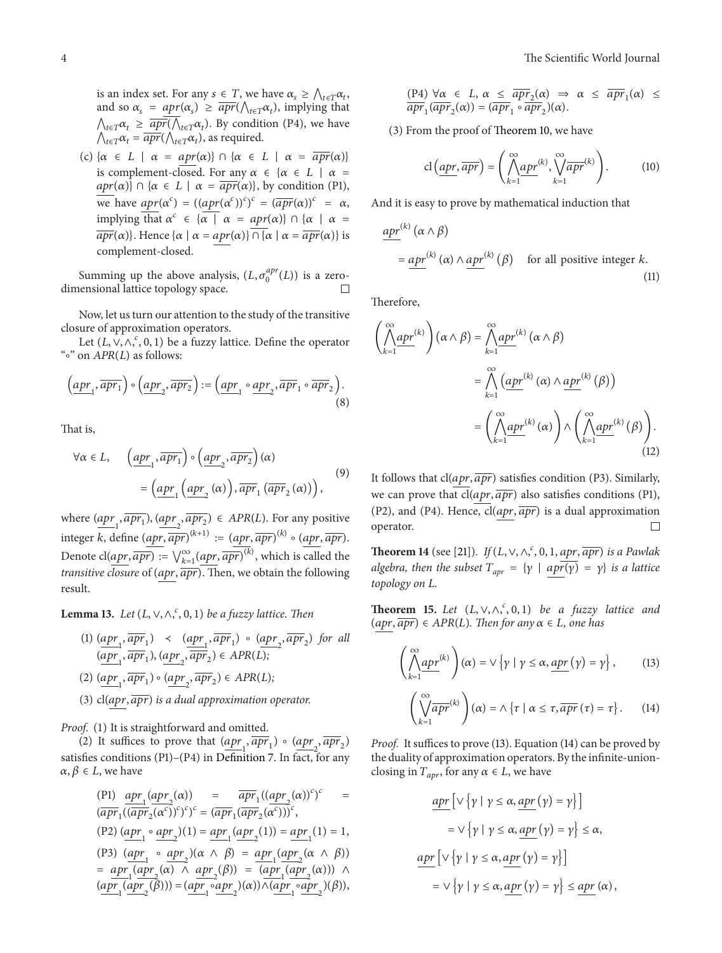is an index set. For any  $s \in T$ , we have  $\alpha_s \geq \bigwedge_{t \in T} \alpha_t$ , and so  $\alpha_s = apr(\alpha_s) \geq \overline{apr}(\bigwedge_{t \in T} \alpha_t)$ , implying that  $\bigwedge_{t \in T} \alpha_t \geq \overline{apr}(\bigwedge_{t \in T} \alpha_t)$ . By condition (P4), we have  $\bigwedge_{t \in T} \alpha_t = \overline{apr}(\bigwedge_{t \in T} \alpha_t)$ , as required.

(c)  $\{\alpha \in L \mid \alpha = apr(\alpha)\}\cap \{\alpha \in L \mid \alpha = \overline{apr}(\alpha)\}\$ is complement-closed. For any  $\alpha \in {\alpha \in L \mid \alpha =}$  $apr(\alpha) \} \cap {\alpha \in L \mid \alpha = \overline{apr(\alpha)} \}$ , by condition (P1), we have  $\frac{apr(\alpha^c)}{=}((\frac{apr(\alpha^c)}{c})^c)^c = (\frac{apr(\alpha)}{c})^c = \alpha$ , implying that  $\alpha^c \in {\{\alpha \mid \alpha = apr(\alpha)\}\cap {\{\alpha \mid \alpha = apr(\alpha)\}\}}$  $\overline{apr}(\alpha)$ . Hence  $\{\alpha \mid \alpha = apr(\alpha)\}\cap \{\alpha \mid \alpha = \overline{apr}(\alpha)\}\$ is complement-closed.

Summing up the above analysis,  $(L, \sigma_0^{app}(L))$  is a zerodimensional lattice topology space.

Now, let us turn our attention to the study of the transitive closure of approximation operators.

Let  $(L, \vee, \wedge,^c, 0, 1)$  be a fuzzy lattice. Define the operator "∘" on  $APR(L)$  as follows:

$$
\left(\underline{apr_1}, \overline{apr_1}\right) \circ \left(\underline{apr_2}, \overline{apr_2}\right) := \left(\underline{apr_1} \circ \underline{ apr_2}, \overline{ apr_1} \circ \overline{ apr_2}\right). \tag{8}
$$

That is,

$$
\forall \alpha \in L, \quad \left(\underline{apr_1}, \overline{apr_1} \right) \circ \left(\underline{apr_2}, \overline{apr_2} \right) (\alpha) = \left(\underline{apr_1} \left(\underline{ apr_2} (\alpha) \right), \overline{ apr_1} \left(\overline{ apr_2} (\alpha) \right) \right), \tag{9}
$$

where  $(\underbrace{apr_1}_{1}, \overline{apr_1})$ ,  $(\underbrace{apr_2}_{n}, \overline{apr_2}) \in APR(L)$ . For any positive integer k, define  $(apr, \overline{apr})^{(k+1)} := (apr, \overline{apr})^{(k)} \circ (apr, \overline{apr}).$ Denote cl( $apr$ ,  $\overline{apr}$ ) :=  $\bigvee_{k=1}^{\infty} (apr, \overline{apr} )^{(k)}$ , which is called the *transitive closure* of  $(apr, \overline{apr}$ ). Then, we obtain the following result.

**Lemma 13.** *Let*  $(L, \vee, \wedge,^c, 0, 1)$  *be a fuzzy lattice. Then* 

(1)  $(\underline{apr_1}, \overline{apr_1})$  <  $(\underline{apr_1}, \overline{ apr_1})$  ·  $(\underline{apr_2}, \overline{ apr_2})$  for all  $(\underline{apr}_1, \overline{apr}_1), (\underline{apr}_2, \overline{ apr}_2) \in APR(L);$  $(2)$   $(\underline{apr}_1, \overline{apr}_1) \circ (\underline{apr}_2, \overline{apr}_2) \in APR(L);$ (3)  $cl(apr, \overline{apr}$ ) is a dual approximation operator.

*Proof.* (1) It is straightforward and omitted.

(2) It suffices to prove that  $(apr_1, \overline{apr_1} \circ (apr_2, \overline{ apr_2})$ satisfies conditions (P1)–(P4) in Definition 7. In fact, for any  $\alpha, \beta \in L$ , we have

$$
\begin{array}{lll} \text{(P1)} & \dfrac{apr_1(apr_2(\alpha))}{(apr_1((apr_2(\alpha))^c)^c)} = & \dfrac{ \overline{apr}_1((apr_2(\alpha))^c)^c}{(apr_1((apr_2(\alpha^c))^c)^c)} = & \dfrac{ \overline{apr}_1( \overline{apr}_2(\alpha^c))^c}{( \overline{apr}_2(\alpha^c))^c}, \\ \text{(P2)} & \dfrac{ (apr_1 \circ apr_2)(1) = apr_1( apr_2(1)) = apr_1(1) = 1, \\ \text{(P3)} & \dfrac{ (apr_1 \circ apr_2)(\alpha \wedge \beta) = apr_1( apr_2(\alpha \wedge \beta))}{( \alpha \wedge \beta) = apr_1( apr_2(\alpha))} \\ & \dfrac{ \overline{apr}_1( apr_2(\alpha) \wedge apr_2(\beta)) = ( \overline{apr}_1( apr_2)(\alpha)) \wedge ( apr_1( apr_2)(\beta)), }{ ( \underline{apr}_1( apr_2(\beta)) = ( apr_1( apr_2)(\alpha)) \wedge ( apr_1( apr_2)(\beta)), } \end{array}
$$

$$
\frac{(\text{P4}) \forall \alpha \in L, \alpha \leq \overline{apr}_2(\alpha) \Rightarrow \alpha \leq \overline{apr}_1(\alpha) \leq \overline{apr}_1(\alpha) \leq \overline{apr}_2(\alpha) = (\overline{apr}_1 \circ \overline{apr}_2)(\alpha).
$$

(3) From the proof of Theorem 10, we have

$$
\mathbf{cl}\left(\underbrace{apr}, \overline{apr}\right) = \left(\bigwedge_{k=1}^{\infty} \underbrace{apr^{(k)}}, \bigvee_{k=1}^{\infty} \overline{apr^{(k)}}\right). \tag{10}
$$

And it is easy to prove by mathematical induction that

$$
\frac{apr^{(k)}(\alpha \wedge \beta)}{= apr^{(k)}(\alpha) \wedge apr^{(k)}(\beta)}
$$
 for all positive integer k. (11)

Therefore,

$$
\left(\bigwedge_{k=1}^{\infty} apr^{(k)}\right)(\alpha \wedge \beta) = \bigwedge_{k=1}^{\infty} apr^{(k)}(\alpha \wedge \beta)
$$

$$
= \bigwedge_{k=1}^{\infty} \left(\underbrace{apr^{(k)}(\alpha) \wedge apr^{(k)}(\beta)}\right)
$$

$$
= \left(\bigwedge_{k=1}^{\infty} apr^{(k)}(\alpha)\right) \wedge \left(\bigwedge_{k=1}^{\infty} apr^{(k)}(\beta)\right).
$$
(12)

It follows that  $cl(apr, \overline{apr})$  satisfies condition (P3). Similarly, we can prove that  $cl(apr, \overline{apr})$  also satisfies conditions (P1), (P2), and (P4). Hence,  $cl(apr, \overline{apr})$  is a dual approximation operator. П

**Theorem 14** (see [21]). *If*  $(L, \vee, \wedge, \overset{c}{\cdot}, 0, 1, \underset{apr}{\overline{apr}})$  *is a Pawlak algebra, then the subset*  $T_{apr} = \{ \gamma \mid apr(\gamma) = \gamma \}$  *is a lattice topology on L.* 

**Theorem 15.** *Let*  $(L, \vee, \wedge, {}^c, 0, 1)$  *be a fuzzy lattice and*  $(apr, \overline{apr}) \in APR(L)$ . Then for any  $\alpha \in L$ , one has

$$
\left(\bigwedge_{k=1}^{\infty} \frac{apr^{(k)}}{r}\right)(\alpha) = \vee \left\{\gamma \mid \gamma \le \alpha, \frac{apr}{r}(\gamma) = \gamma\right\},\qquad(13)
$$

$$
\left(\bigvee_{k=1}^{\infty} \overline{apr}^{(k)}\right)(\alpha) = \wedge \{\tau \mid \alpha \leq \tau, \overline{apr}(\tau) = \tau\}.
$$
 (14)

*Proof.* It suffices to prove (13). Equation (14) can be proved by the duality of approximation operators. By the infinite-unionclosing in  $T_{apr}$ , for any  $\alpha \in L$ , we have

$$
\underline{apr} \left[ \vee \{ \gamma \mid \gamma \le \alpha, \underline{apr} \left( \gamma \right) = \gamma \} \right]
$$
\n
$$
= \vee \{ \gamma \mid \gamma \le \alpha, \underline{ apr} \left( \gamma \right) = \gamma \} \le \alpha,
$$
\n
$$
\underline{ apr} \left[ \vee \{ \gamma \mid \gamma \le \alpha, \underline{ apr} \left( \gamma \right) = \gamma \} \right]
$$
\n
$$
= \vee \{ \gamma \mid \gamma \le \alpha, \underline{ apr} \left( \gamma \right) = \gamma \} \le \underline{ apr} \left( \alpha \right),
$$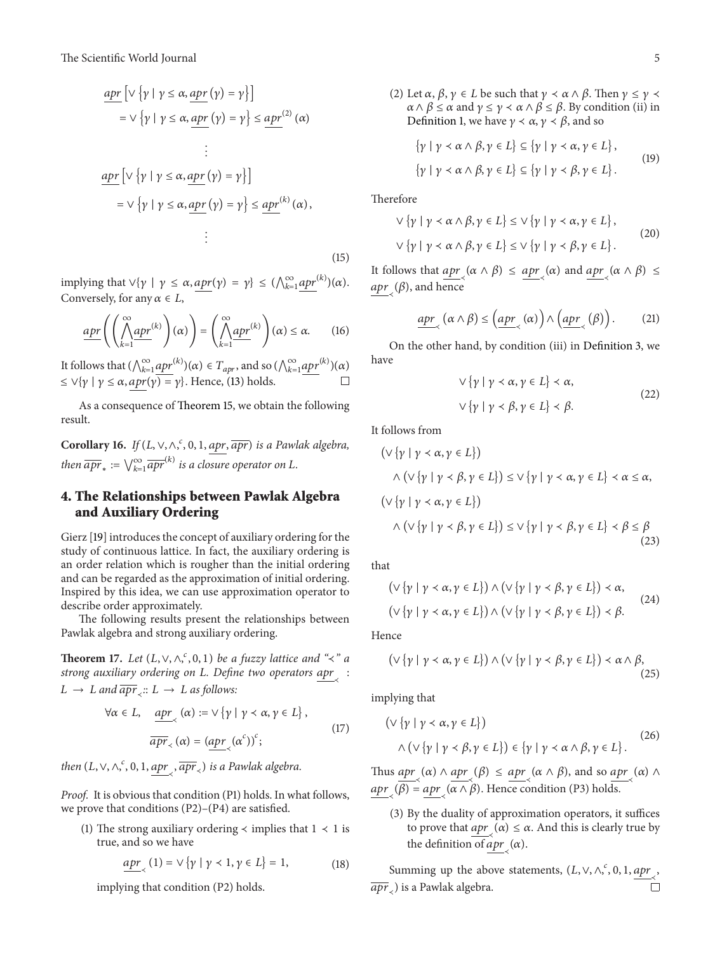$$
\underline{apr} \left[ \vee \{ \gamma \mid \gamma \le \alpha, \underline{apr} \left( \gamma \right) = \gamma \} \right]
$$
\n
$$
= \vee \{ \gamma \mid \gamma \le \alpha, \underline{ apr} \left( \gamma \right) = \gamma \} \le \underline{ apr}^{(2)} \left( \alpha \right)
$$
\n
$$
\vdots
$$
\n
$$
\underline{ apr} \left[ \vee \{ \gamma \mid \gamma \le \alpha, \underline{ apr} \left( \gamma \right) = \gamma \} \right]
$$
\n
$$
= \vee \{ \gamma \mid \gamma \le \alpha, \underline{ apr} \left( \gamma \right) = \gamma \} \le \underline{ apr}^{(k)} \left( \alpha \right),
$$
\n
$$
\vdots
$$

implying that  $\forall {\gamma \mid \gamma \leq \alpha, \frac{apr(\gamma) = \gamma }{ \}} \leq (\bigwedge_{k=1}^{\infty} \frac{apr^{(k)}(\alpha)}{ \alpha}.$ Conversely, for any  $\alpha \in L$ ,

$$
\underline{apr}\left(\left(\bigwedge_{k=1}^{\infty} \underline{apr}^{(k)}\right)(\alpha)\right) = \left(\bigwedge_{k=1}^{\infty} \underline{apr}^{(k)}\right)(\alpha) \leq \alpha. \qquad (16)
$$

It follows that  $(\bigwedge_{k=1}^{\infty} \underline{apr}^{(k)})(\alpha) \in T_{apr}$ , and so  $(\bigwedge_{k=1}^{\infty} \underline{apr}^{(k)})(\alpha)$  $\leq \vee \{ \gamma \mid \gamma \leq \alpha, apr(\gamma) = \gamma \}.$  Hence, (13) holds.

As a consequence of Theorem 15, we obtain the following result.

Corollary 16. *If* (*L*, ∨, ∧,<sup>*c*</sup>, 0, 1, <u>apr</u>, <del>apr</del>) is a Pawlak algebra, *then*  $\overline{apr}_* := \bigvee_{k=1}^{\infty} \overline{apr}^{(k)}$  *is a closure operator on L.* 

## **4. The Relationships between Pawlak Algebra and Auxiliary Ordering**

Gierz [19] introduces the concept of auxiliary ordering for the study of continuous lattice. In fact, the auxiliary ordering is an order relation which is rougher than the initial ordering and can be regarded as the approximation of initial ordering. Inspired by this idea, we can use approximation operator to describe order approximately.

The following results present the relationships between Pawlak algebra and strong auxiliary ordering.

**Theorem 17.** *Let*  $(L, \vee, \wedge, \ulcorner, 0, 1)$  *be a fuzzy lattice and* " $\prec$ " *a strong auxiliary ordering on L. Define two operators apr* :  $L \rightarrow L$  and  $\overline{apr}$   $\therefore$   $L \rightarrow L$  as follows:

$$
\forall \alpha \in L, \quad \underbrace{apr}_{\prec}(\alpha) := \vee \{ \gamma \mid \gamma \prec \alpha, \gamma \in L \},
$$
\n
$$
\overline{apr}_{\prec}(\alpha) = (\underbrace{apr}_{\prec}(\alpha^{c}))^{c};
$$
\n(17)

then  $(L, \vee, \wedge, \overset{c}{\cdot}, 0, 1, \underbrace{apr}_{\prec}, \overline{apr}_{\prec})$  is a Pawlak algebra.

*Proof.* It is obvious that condition (P1) holds. In what follows, we prove that conditions (P2)–(P4) are satisfied.

(1) The strong auxiliary ordering  $\prec$  implies that  $1 \prec 1$  is true, and so we have

$$
\underline{apr}_{\prec}(1) = \vee \{ \gamma \mid \gamma \prec 1, \gamma \in L \} = 1,\tag{18}
$$

implying that condition (P2) holds.

(2) Let  $\alpha$ ,  $\beta$ ,  $\gamma \in L$  be such that  $\gamma \prec \alpha \wedge \beta$ . Then  $\gamma \leq \gamma \prec$  $\alpha \wedge \beta \leq \alpha$  and  $\gamma \leq \gamma \prec \alpha \wedge \beta \leq \beta$ . By condition (ii) in Definition 1, we have  $\gamma \prec \alpha$ ,  $\gamma \prec \beta$ , and so

$$
\{\gamma \mid \gamma \prec \alpha \land \beta, \gamma \in L\} \subseteq \{\gamma \mid \gamma \prec \alpha, \gamma \in L\},\
$$

$$
\{\gamma \mid \gamma \prec \alpha \land \beta, \gamma \in L\} \subseteq \{\gamma \mid \gamma \prec \beta, \gamma \in L\}.
$$

$$
(19)
$$

Therefore

(15)

$$
\nabla \{ \gamma \mid \gamma \prec \alpha \wedge \beta, \gamma \in L \} \leq \nabla \{ \gamma \mid \gamma \prec \alpha, \gamma \in L \},
$$
  

$$
\nabla \{ \gamma \mid \gamma \prec \alpha \wedge \beta, \gamma \in L \} \leq \nabla \{ \gamma \mid \gamma \prec \beta, \gamma \in L \}.
$$
 (20)

It follows that  $\underset{\alpha}{\operatorname{apr}}(\alpha \wedge \beta) \leq \underset{\alpha}{\operatorname{apr}}(\alpha)$  and  $\underset{\alpha}{\operatorname{apr}}(\alpha \wedge \beta) \leq$  $\underbrace{apr}_{\prec}(\beta)$ , and hence

$$
\underline{apr}_{\prec}(\alpha \wedge \beta) \leq (\underline{apr}_{\prec}(\alpha)) \wedge (\underline{apr}_{\prec}(\beta)). \tag{21}
$$

On the other hand, by condition (iii) in Definition 3, we have

$$
\forall \{\gamma \mid \gamma < \alpha, \gamma \in L\} < \alpha,
$$
\n
$$
\forall \{\gamma \mid \gamma < \beta, \gamma \in L\} < \beta.
$$
\n
$$
(22)
$$

It follows from

$$
(\vee \{\gamma \mid \gamma < \alpha, \gamma \in L\})
$$
\n
$$
\wedge (\vee \{\gamma \mid \gamma < \beta, \gamma \in L\}) \leq \vee \{\gamma \mid \gamma < \alpha, \gamma \in L\} < \alpha \leq \alpha,
$$
\n
$$
(\vee \{\gamma \mid \gamma < \alpha, \gamma \in L\})
$$
\n
$$
\wedge (\vee \{\gamma \mid \gamma < \beta, \gamma \in L\}) \leq \vee \{\gamma \mid \gamma < \beta, \gamma \in L\} < \beta \leq \beta
$$
\n
$$
(23)
$$

that

$$
(\vee \{\gamma \mid \gamma \prec \alpha, \gamma \in L\}) \wedge (\vee \{\gamma \mid \gamma \prec \beta, \gamma \in L\}) \prec \alpha,
$$
  

$$
(\vee \{\gamma \mid \gamma \prec \alpha, \gamma \in L\}) \wedge (\vee \{\gamma \mid \gamma \prec \beta, \gamma \in L\}) \prec \beta.
$$
 (24)

Hence

$$
(\vee \{\gamma \mid \gamma \prec \alpha, \gamma \in L\}) \wedge (\vee \{\gamma \mid \gamma \prec \beta, \gamma \in L\}) \prec \alpha \wedge \beta, \tag{25}
$$

implying that

$$
(\vee \{\gamma \mid \gamma \prec \alpha, \gamma \in L\})
$$
  
 
$$
\wedge (\vee \{\gamma \mid \gamma \prec \beta, \gamma \in L\}) \in \{\gamma \mid \gamma \prec \alpha \wedge \beta, \gamma \in L\}.
$$
 (26)

Thus  $\underset{\sim}{\underline{apr}}(\alpha) \wedge \underset{\sim}{\underline{apr}}(\beta) \leq \underset{\sim}{\underline{apr}}(\alpha \wedge \beta)$ , and so  $\underset{\sim}{\underline{apr}}(\alpha) \wedge$  $\underset{\sim}{\operatorname{apr}}_{\prec}(\beta) = \underset{\sim}{\operatorname{apr}}_{\prec}(\alpha \wedge \beta).$  Hence condition (P3) holds.

(3) By the duality of approximation operators, it suffices to prove that  $\underbrace{apr}(\alpha) \leq \alpha$ . And this is clearly true by the definition of  $\underset{\sim}{\text{apr}}(\alpha)$ .

Summing up the above statements,  $(L, \vee, \wedge, ^c, 0, 1, \underbrace{apr}_{\prec}, )$  $\overline{apr}_{\leq}$ ) is a Pawlak algebra.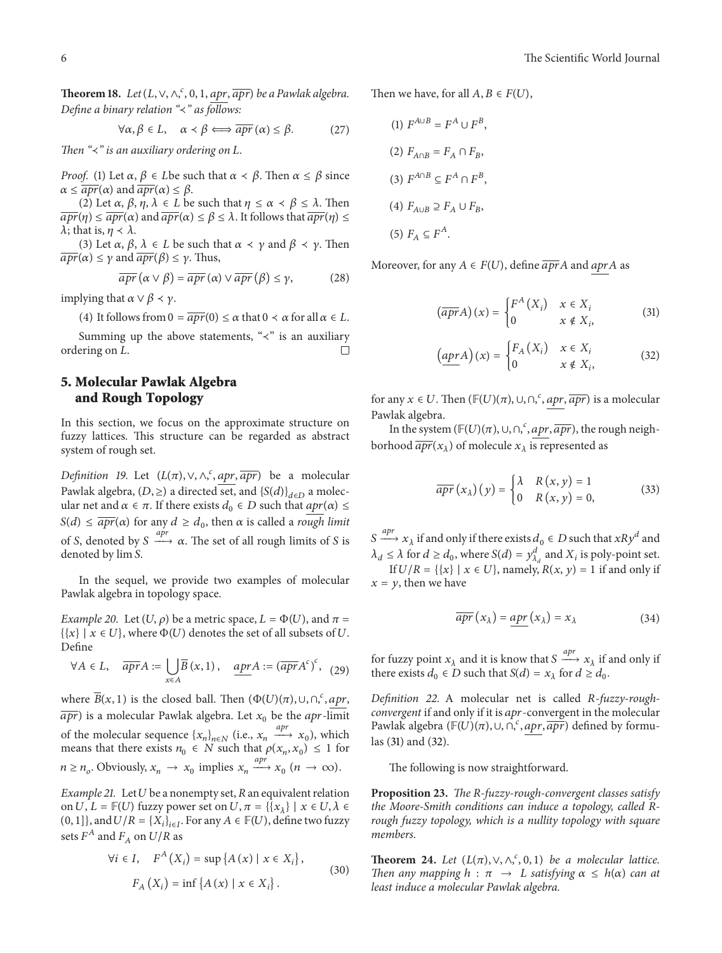**Theorem 18.** Let  $(L, \vee, \wedge, ^c, 0, 1, \overline{apr}, \overline{apr})$  be a Pawlak algebra. *Define a binary relation "*≺*" as follows:*

$$
\forall \alpha, \beta \in L, \quad \alpha \prec \beta \Longleftrightarrow \overline{apr}(\alpha) \leq \beta. \tag{27}
$$

*Then* "≺" is an auxiliary ordering on L.

*Proof.* (1) Let  $\alpha$ ,  $\beta \in L$  be such that  $\alpha \prec \beta$ . Then  $\alpha \leq \beta$  since  $\alpha \leq \overline{apr}(\alpha)$  and  $\overline{apr}(\alpha) \leq \beta$ .

(2) Let  $\alpha$ ,  $\beta$ ,  $\eta$ ,  $\lambda \in L$  be such that  $\eta \leq \alpha \prec \beta \leq \lambda$ . Then  $\overline{apr}(\eta) \leq \overline{apr}(\alpha)$  and  $\overline{apr}(\alpha) \leq \beta \leq \lambda$ . It follows that  $\overline{apr}(\eta) \leq \overline{apr}(\eta)$  $\lambda$ ; that is,  $\eta \prec \lambda$ .

(3) Let  $\alpha$ ,  $\beta$ ,  $\lambda \in L$  be such that  $\alpha \prec \gamma$  and  $\beta \prec \gamma$ . Then  $\overline{apr}(\alpha) \leq \gamma$  and  $\overline{apr}(\beta) \leq \gamma$ . Thus,

$$
\overline{apr} (\alpha \vee \beta) = \overline{apr} (\alpha) \vee \overline{apr} (\beta) \le \gamma,
$$
 (28)

implying that  $\alpha \vee \beta \prec \gamma$ .

(4) It follows from  $0 = \overline{apr}(0) \le \alpha$  that  $0 < \alpha$  for all  $\alpha \in L$ .

Summing up the above statements, " $\prec$ " is an auxiliary ering on *L* ordering on L.

## **5. Molecular Pawlak Algebra and Rough Topology**

In this section, we focus on the approximate structure on fuzzy lattices. This structure can be regarded as abstract system of rough set.

*Definition 19.* Let  $(L(\pi), \vee, \wedge, \frac{c}{\pi})$ ,  $\overline{apr}$ , be a molecular Pawlak algebra,  $(D, \geq)$  a directed set, and  $\{S(d)\}_d \in D$  a molecular net and *α* ∈ *π*. If there exists *d*<sup>0</sup> ∈ *D* such that *apr*(*α*) ≤  $S(d) \leq \overline{apr}(\alpha)$  for any  $d \geq d_0$ , then  $\alpha$  is called a *rough limit* of S, denoted by  $S \xrightarrow{apr} \alpha$ . The set of all rough limits of S is denoted by  $\lim S$ .

In the sequel, we provide two examples of molecular Pawlak algebra in topology space.

*Example 20.* Let  $(U, \rho)$  be a metric space,  $L = \Phi(U)$ , and  $\pi =$  $\{\{x\} \mid x \in U\}$ , where  $\Phi(U)$  denotes the set of all subsets of U. Define

$$
\forall A \in L, \quad \overline{apr}A := \bigcup_{x \in A} \overline{B}(x,1), \quad \underline{apr}A := (\overline{apr}A^c)^c, \quad (29)
$$

where  $\overline{B}(x, 1)$  is the closed ball. Then  $(\Phi(U)(\pi), \cup, \cap, \frac{c}{n}, \underline{apr},$  $\overline{apr}$ ) is a molecular Pawlak algebra. Let  $x_0$  be the apr-limit of the molecular sequence  $\{x_n\}_{n \in \mathbb{N}}$  (i.e.,  $x_n \xrightarrow{apr} x_0$ ), which means that there exists  $n_0 \in N$  such that  $\rho(x_n, x_0) \leq 1$  for  $n \ge n_o$ . Obviously,  $x_n \to x_0$  implies  $x_n \xrightarrow{apr} x_0$   $(n \to \infty)$ .

*Example 21.* Let  $U$  be a nonempty set,  $R$  an equivalent relation on  $U, L = \mathbb{F}(U)$  fuzzy power set on  $U, \pi = \{\{x_{\lambda}\} \mid x \in U, \lambda \in$  $(0, 1]$ , and  $U/R = \{X_i\}_{i \in I}$ . For any  $A \in \mathbb{F}(U)$ , define two fuzzy sets  $F^A$  and  $F_A$  on  $U/R$  as

$$
\forall i \in I, \quad F^{A}(X_{i}) = \sup \{ A(x) \mid x \in X_{i} \},
$$
  

$$
F_{A}(X_{i}) = \inf \{ A(x) \mid x \in X_{i} \}.
$$
 (30)

Then we have, for all  $A, B \in F(U)$ ,

(1) 
$$
F^{A \cup B} = F^{A} \cup F^{B},
$$
  
\n(2) 
$$
F_{A \cap B} = F_{A} \cap F_{B},
$$
  
\n(3) 
$$
F^{A \cap B} \subseteq F^{A} \cap F^{B},
$$
  
\n(4) 
$$
F_{A \cup B} \supseteq F_{A} \cup F_{B},
$$
  
\n(5) 
$$
F_{A} \subseteq F^{A}.
$$

Moreover, for any  $A \in F(U)$ , define  $\overline{apr}A$  and  $aprA$  as

$$
\left(\overline{apr}A\right)(x) = \begin{cases} F^{A}\left(X_{i}\right) & x \in X_{i} \\ 0 & x \notin X_{i}, \end{cases}
$$
 (31)

$$
\left(\underbrace{apr} A\right)(x) = \begin{cases} F_A\left(X_i\right) & x \in X_i \\ 0 & x \notin X_i, \end{cases} \tag{32}
$$

for any  $x \in U$ . Then  $(\mathbb{F}(U)(\pi), \cup, \cap, \frac{c}{n}$ ,  $\frac{apr}{apr})$  is a molecular Pawlak algebra.

In the system  $(\mathbb{F}(U)(\pi), \cup, \cap, \frac{c}{\alpha pr}, \overline{apr}),$  the rough neighborhood  $\overline{apr}(x_{\lambda})$  of molecule  $x_{\lambda}$  is represented as

$$
\overline{apr}(x_{\lambda})(y) = \begin{cases} \lambda & R(x, y) = 1 \\ 0 & R(x, y) = 0, \end{cases}
$$
 (33)

 $S \xrightarrow{apr} x_{\lambda}$  if and only if there exists  $d_0 \in D$  such that  $xRy^d$  and  $\lambda_d \le \lambda$  for  $d \ge d_0$ , where  $S(d) = y_{\lambda_d}^d$  and  $X_i$  is poly-point set.

If  $U/R = \{\{x\} \mid x \in U\}$ , namely,  $R(x, y) = 1$  if and only if  $x = y$ , then we have

$$
\overline{apr}(x_{\lambda}) = \underline{apr}(x_{\lambda}) = x_{\lambda}
$$
\n(34)

for fuzzy point  $x_{\lambda}$  and it is know that  $S \xrightarrow{apr} x_{\lambda}$  if and only if there exists  $d_0 \in D$  such that  $S(d) = x_{\lambda}$  for  $d \geq d_0$ .

Definition 22. A molecular net is called R-fuzzy-rough*convergent* if and only if it is apr-convergent in the molecular Pawlak algebra ( $\mathbb{F}(U)(\pi)$ ,  $\cup$ ,  $\cap$ ,  $\cdot$ ,  $\frac{apr}{apr}$ ,  $\frac{apr}{apr}$ ) defined by formulas (31) and (32).

The following is now straightforward.

**Proposition 23.** *The R-fuzzy-rough-convergent classes satisfy the Moore-Smith conditions can induce a topology, called Rrough fuzzy topology, which is a nullity topology with square members.*

**Theorem 24.** *Let*  $(L(\pi), \vee, \wedge, ^c, 0, 1)$  *be a molecular lattice. Then any mapping*  $h : \pi \rightarrow L$  *satisfying*  $\alpha \leq h(\alpha)$  *can at least induce a molecular Pawlak algebra.*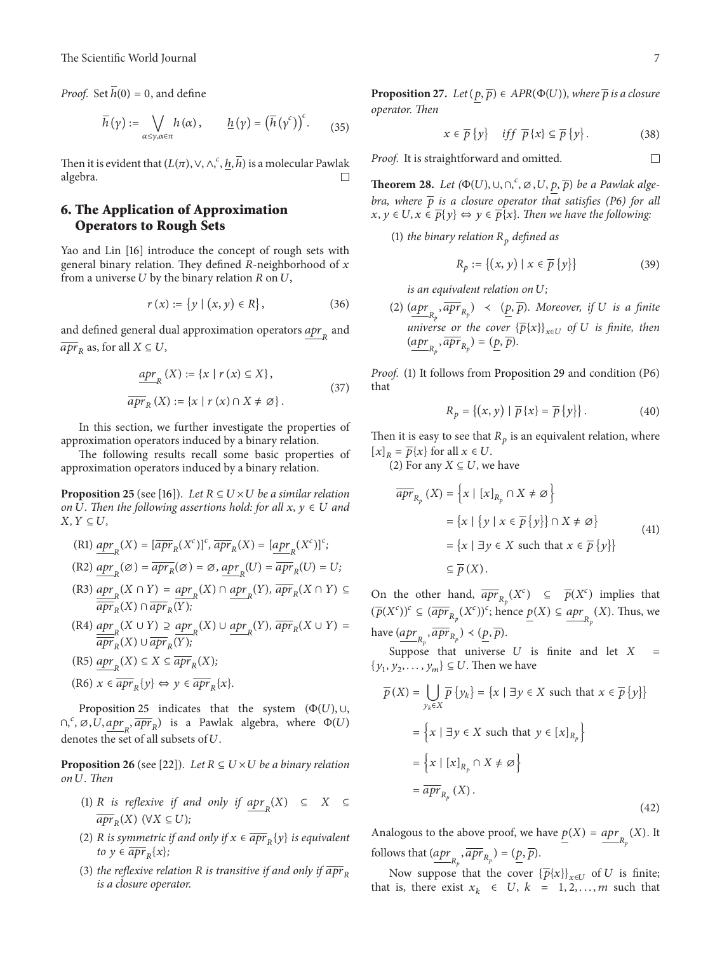*Proof.* Set  $\overline{h}(0) = 0$ , and define

$$
\overline{h}(\gamma) := \bigvee_{\alpha \leq \gamma, \alpha \in \pi} h(\alpha), \qquad \underline{h}(\gamma) = \left(\overline{h}(\gamma^c)\right)^c. \tag{35}
$$

Then it is evident that  $(L(\pi), \vee, \wedge, \frac{\hbar}{}, \overline{h})$  is a molecular Pawlak algebra.

## **6. The Application of Approximation Operators to Rough Sets**

Yao and Lin [16] introduce the concept of rough sets with general binary relation. They defined  $R$ -neighborhood of  $x$ from a universe  $U$  by the binary relation  $R$  on  $U$ ,

$$
r(x) := \{ y \mid (x, y) \in R \},\tag{36}
$$

and defined general dual approximation operators  $\frac{apr}{dx_R}$  and  $\overline{apr}_R$  as, for all  $X \subseteq U$ ,

$$
\underline{apr}_{R}(X) := \{x \mid r(x) \subseteq X\},
$$
  

$$
\overline{apr}_{R}(X) := \{x \mid r(x) \cap X \neq \emptyset\}.
$$
 (37)

In this section, we further investigate the properties of approximation operators induced by a binary relation.

The following results recall some basic properties of approximation operators induced by a binary relation.

**Proposition 25** (see [16]). Let  $R \subseteq U \times U$  be a similar relation *on*  $U$ . Then the following assertions hold: for all  $x, y \in U$  and  $X, Y \subseteq U$ ,

- (R1)  $\underline{apr}_R(X) = [\overline{apr}_R(X^c)]^c$ ,  $\overline{apr}_R(X) = [\underline{apr}_R(X^c)]^c$ ; (R2)  $\underset{\sim}{\underline{apr}}_{R}(\varnothing) = \overline{apr}_{R}(\varnothing) = \varnothing, \underset{\sim}{\underline{apr}}_{R}(U) = \overline{apr}_{R}(U) = U;$
- $(R3)$   $\underline{apr}_R(X \cap Y) = \underline{apr}_R(X) \cap \underline{apr}_R(Y), \overline{ apr}_R(X \cap Y) \subseteq$  $\overline{apr}_R(X) \cap \overline{apr}_R(Y);$
- $(R4)$   $\underset{M}{\underline{apr}}(X \cup Y) \supseteq \underset{R}{\underline{apr}}(X) \cup \underset{R}{\underline{apr}}(Y), \overline{apr}_{R}(X \cup Y) =$  $\overline{apr}_R(X) \cup \overline{apr}_R(Y);$
- $(R5)$   $\underset{\longrightarrow}{apr}_R(X) \subseteq X \subseteq \overline{apr}_R(X);$
- $(R6)$   $x \in \overline{apr}_p\{y\} \Leftrightarrow y \in \overline{apr}_p\{x\}.$

Proposition 25 indicates that the system  $(\Phi(U), \cup, \Phi(V))$  $\cap_{r}^{\epsilon}$ ,  $\varnothing$ ,  $\overline{U}$ ,  $\overline{apr}_{R}$  is a Pawlak algebra, where  $\Phi(U)$ denotes the set of all subsets of  $U$ .

**Proposition 26** (see [22]). Let  $R \subseteq U \times U$  be a binary relation *on . Then*

- (1) *R* is reflexive if and only if  $\underline{apr}_R(X) \subseteq X \subseteq$  $\overline{apr}_R(X)$  ( $\forall X \subseteq U$ );
- (2) *R* is symmetric if and only if  $x \in \overline{apr}_R\{y\}$  is equivalent *to*  $y \in \overline{apr}_R\{x\};$
- (3) *the reflexive relation* R *is transitive if and only if*  $\overline{apr}_R$ *is a closure operator.*

**Proposition 27.** *Let*  $(p, \overline{p}) \in APR(\Phi(U))$ *, where*  $\overline{p}$  *is a closure operator. Then*

$$
x \in \overline{p}\{y\} \quad \text{iff} \quad \overline{p}\{x\} \subseteq \overline{p}\{y\} \,.
$$
 (38)

*Proof.* It is straightforward and omitted.

**Theorem 28.** *Let*  $(\Phi(U), \cup, \cap, ^c, \varnothing, U, \underline{p}, \overline{p})$  *be a Pawlak algebra, where*  $\bar{p}$  *is a closure operator that satisfies (P6) for all*  $x, y \in U, x \in \overline{p}{y} \Leftrightarrow y \in \overline{p}{x}$ . Then we have the following:

(1) *the binary relation*  $R_p$  *defined as* 

$$
R_p := \{(x, y) \mid x \in \overline{p} \{y\} \}
$$
 (39)

*is an equivalent relation on U;* 

(2)  $(\underbrace{apr_{R_p}}, \overline{apr_{R_p}})$   $\prec$   $(\underbrace{p}, \overline{p})$ . Moreover, if U is a finite *universe or the cover*  $\{\overline{p}\{x\}\}_{{x \in U}}$  *of U is finite, then*  $(\underbrace{apr}_{R_p}, \overline{apr}_{R_p}) = (\underbrace{p}_{p}, \overline{p}).$ 

*Proof.* (1) It follows from Proposition 29 and condition (P6) that

$$
R_p = \{(x, y) | \overline{p} \{x\} = \overline{p} \{y\} \}.
$$
 (40)

Then it is easy to see that  $R_p$  is an equivalent relation, where  $[x]_R = {\overline{p}}\{x\}$  for all  $x \in U$ .

(2) For any  $X \subseteq U$ , we have

$$
\overline{apr}_{R_p}(X) = \left\{ x \mid [x]_{R_p} \cap X \neq \emptyset \right\}
$$

$$
= \left\{ x \mid \{ y \mid x \in \overline{p} \{ y \} \} \cap X \neq \emptyset \right\}
$$

$$
= \left\{ x \mid \exists y \in X \text{ such that } x \in \overline{p} \{ y \} \right\}
$$
(41)
$$
\subseteq \overline{p}(X).
$$

On the other hand,  $\overline{apr}_{R_p}(X^c) \subseteq \overline{p}(X^c)$  implies that  $(\overline{p}(X^c))^c \subseteq (\overline{apr}_{R_p}(X^c))^c$ ; hence  $\underline{p}(X) \subseteq \underline{apr}_{R_p}(X)$ . Thus, we have  $\underbrace{(apr_{R_p}, \overline{apr}_{R_p}) \prec (\underline{p}, \overline{p})}.$ 

Suppose that universe  $U$  is finite and let  $X =$  $\{y_1, y_2, \ldots, y_m\} \subseteq U$ . Then we have

$$
\overline{p}(X) = \bigcup_{y_k \in X} \overline{p} \{y_k\} = \{x \mid \exists y \in X \text{ such that } x \in \overline{p} \{y\}\}
$$

$$
= \{x \mid \exists y \in X \text{ such that } y \in [x]_{R_p}\}
$$

$$
= \{x \mid [x]_{R_p} \cap X \neq \emptyset\}
$$

$$
= \overline{apr}_{R_p}(X).
$$
(42)

Analogous to the above proof, we have  $\underline{p}(X) = \underline{apr}_{R_p}(X)$ . It follows that  $\underbrace{(apr_{R_p}, \overline{apr}_{R_p}) = (\underline{p}, \overline{p})}.$ 

Now suppose that the cover  ${\{\overline{p}\{x\}}_{x \in U}$  of U is finite; that is, there exist  $x_k \in U$ ,  $k = 1, 2, ..., m$  such that

 $\Box$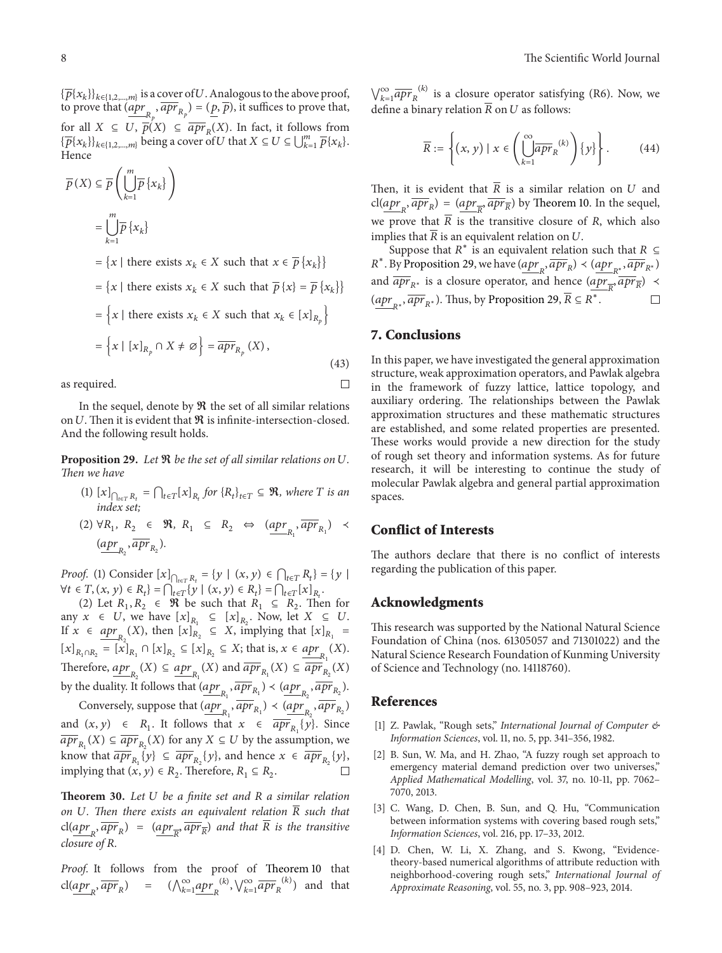${\{\overline{p}\{x_k\}\}}_{k\in{1,2,...,m\}}}$  is a cover of U. Analogous to the above proof, to prove that  $\overline{(apr_{R_p}, \overline{apr}_{R_p})} = (\underline{p}, \overline{p})$ , it suffices to prove that, for all  $X \subseteq U$ ,  $\overline{p}(X) \subseteq \overline{apr}_R(X)$ . In fact, it follows from  ${\{\overline{p}\{x_k\}\}}_{k \in \{1,2,\dots,m\}}$  being a cover of  $U$  that  $X \subseteq U \subseteq \bigcup_{k=1}^m \overline{p}\{x_k\}.$ Hence

$$
\overline{p}(X) \subseteq \overline{p}\left(\bigcup_{k=1}^{m} \overline{p}\left\{x_{k}\right\}\right)
$$
\n
$$
= \bigcup_{k=1}^{m} \overline{p}\left\{x_{k}\right\}
$$
\n
$$
= \left\{x \mid \text{there exists } x_{k} \in X \text{ such that } x \in \overline{p}\left\{x_{k}\right\}\right\}
$$
\n
$$
= \left\{x \mid \text{there exists } x_{k} \in X \text{ such that } \overline{p}\left\{x\right\} = \overline{p}\left\{x_{k}\right\}\right\}
$$
\n
$$
= \left\{x \mid \text{there exists } x_{k} \in X \text{ such that } x_{k} \in [x]_{R_{p}}\right\}
$$
\n
$$
= \left\{x \mid [x]_{R_{p}} \cap X \neq \emptyset\right\} = \overline{apr}_{R_{p}}(X), \tag{43}
$$

as required.

In the sequel, denote by  $\Re$  the set of all similar relations on  $U$ . Then it is evident that  $\Re$  is infinite-intersection-closed. And the following result holds.

**Proposition 29.** Let  $\Re$  be the set of all similar relations on U. *Then we have*

- $(1)$   $[x]_{\bigcap_{t \in T} R_t} = \bigcap_{t \in T} [x]_{R_t}$  for  $\{R_t\}_{t \in T} \subseteq \mathcal{R}$ , where  $T$  is an *index set;*
- (2)  $\forall R_1, R_2 \in \mathcal{R}, R_1 \subseteq R_2 \Leftrightarrow (\underline{apr}_{R_1}, \overline{apr}_{R_1}) \prec$  $\frac{(\operatorname{apr}_{R_2}, \overline{\operatorname{apr}}_{R_2})}{\cdot}$

*Proof.* (1) Consider  $[x]_{\bigcap_{t \in T} R_t} = \{ y \mid (x, y) \in \bigcap_{t \in T} R_t \} = \{ y \mid (x, y) \in \bigcap_{t \in T} R_t \}$  $\forall t \in T, (x, y) \in R_t$  =  $\bigcap_{t \in T} \{y \mid (x, y) \in R_t\} = \bigcap_{t \in T} [x]_{R_t}.$ 

(2) Let  $R_1, R_2 \in \mathcal{R}$  be such that  $R_1 \subseteq R_2$ . Then for any  $x \in U$ , we have  $[x]_{R_1} \subseteq [x]_{R_2}$ . Now, let  $X \subseteq U$ . If  $x \in \underset{R_2}{\operatorname{apr}}(X)$ , then  $[x]_{R_2} \subseteq X$ , implying that  $[x]_{R_1} =$  $[x]_{R_1 \cap R_2} = [x]_{R_1} \cap [x]_{R_2} \subseteq [x]_{R_2} \subseteq X$ ; that is,  $x \in \underline{apr}_{R_1}(X)$ . Therefore,  $\underline{apr}_{R_2}(X) \subseteq \underline{apr}_{R_1}(X)$  and  $\overline{apr}_{R_1}(X) \subseteq \overline{apr}_{R_2}(X)$ by the duality. It follows that  $(\underline{apr}_{R_1}, \overline{apr}_{R_1}) \prec (\underline{apr}_{R_2}, \overline{apr}_{R_2}).$ 

Conversely, suppose that  $(\underline{apr}_{R_1}, \overline{apr}_{R_1}) \prec (\underline{apr}_{R_2}, \overline{apr}_{R_2})$ and  $(x, y) \in R_1$ . It follows that  $x \in \overline{apr}_{R_1} \{y\}$ . Since  $\overline{apr}_{R_1}(X) \subseteq \overline{apr}_{R_2}(X)$  for any  $X \subseteq U$  by the assumption, we know that  $\overline{apr}_{R_1} \{y\} \subseteq \overline{apr}_{R_2} \{y\}$ , and hence  $x \in \overline{apr}_{R_2} \{y\}$ , implying that  $(x, y) \in R_2$ . Therefore,  $R_1 \subseteq R_2$ .

**Theorem 30.** *Let be a finite set and a similar relation on* U. Then there exists an equivalent relation  $\overline{R}$  such that  $cl(apr_{R}$ ,  $\overline{apr}_{R}$ ) =  $(apr_{\overline{R}}$ ,  $\overline{apr}_{\overline{R}}$ ) and that R is the transitive *closure of .*

*Proof.* It follows from the proof of Theorem 10 that cl( $\underline{apr}_R$ ,  $\overline{apr}_R$ ) =  $(\bigwedge_{k=1}^{\infty} \underline{apr}_R^{(k)}, \bigvee_{k=1}^{\infty} \overline{apr}_R^{(k)})$  and that

 $\bigvee_{k=1}^{\infty} \overline{apr}_R^{(k)}$  is a closure operator satisfying (R6). Now, we define a binary relation  $\overline{R}$  on  $U$  as follows:

$$
\overline{R} := \left\{ (x, y) \mid x \in \left( \bigcup_{k=1}^{\infty} \overline{apr}_R^{(k)} \right) \{y\} \right\}.
$$
 (44)

Then, it is evident that  $\overline{R}$  is a similar relation on U and  $\text{cl}(\underbrace{apr}_{R}, \overline{apr}_{R}) = (\underbrace{apr}_{R}, \overline{apr}_{R})$  by Theorem 10. In the sequel, we prove that  $\overline{R}$  is the transitive closure of R, which also implies that  $\overline{R}$  is an equivalent relation on U.

Suppose that  $R^*$  is an equivalent relation such that  $R \subseteq$  $R^*$ . By Proposition 29, we have  $\left(\frac{apr}{R}, \overline{apr}_R\right) \prec \left(\frac{apr}{R^*}, \overline{apr}_{R^*}\right)$ and  $\overline{apr}_{R^*}$  is a closure operator, and hence  $\left( \underline{apr}_{\overline{R}} , \overline{apr}_{\overline{R}} \right)$   $\prec$  $(apr_{n*}, \overline{apr}_{R^*})$ . Thus, by Proposition 29,  $\overline{R} \subseteq R^*$ .  $\Box$ 

#### **7. Conclusions**

 $\Box$ 

In this paper, we have investigated the general approximation structure, weak approximation operators, and Pawlak algebra in the framework of fuzzy lattice, lattice topology, and auxiliary ordering. The relationships between the Pawlak approximation structures and these mathematic structures are established, and some related properties are presented. These works would provide a new direction for the study of rough set theory and information systems. As for future research, it will be interesting to continue the study of molecular Pawlak algebra and general partial approximation spaces.

#### **Conflict of Interests**

The authors declare that there is no conflict of interests regarding the publication of this paper.

#### **Acknowledgments**

This research was supported by the National Natural Science Foundation of China (nos. 61305057 and 71301022) and the Natural Science Research Foundation of Kunming University of Science and Technology (no. 14118760).

#### **References**

- [1] Z. Pawlak, "Rough sets," *International Journal of Computer & Information Sciences*, vol. 11, no. 5, pp. 341–356, 1982.
- [2] B. Sun, W. Ma, and H. Zhao, "A fuzzy rough set approach to emergency material demand prediction over two universes," *Applied Mathematical Modelling*, vol. 37, no. 10-11, pp. 7062– 7070, 2013.
- [3] C. Wang, D. Chen, B. Sun, and Q. Hu, "Communication between information systems with covering based rough sets," *Information Sciences*, vol. 216, pp. 17–33, 2012.
- [4] D. Chen, W. Li, X. Zhang, and S. Kwong, "Evidencetheory-based numerical algorithms of attribute reduction with neighborhood-covering rough sets," *International Journal of Approximate Reasoning*, vol. 55, no. 3, pp. 908–923, 2014.